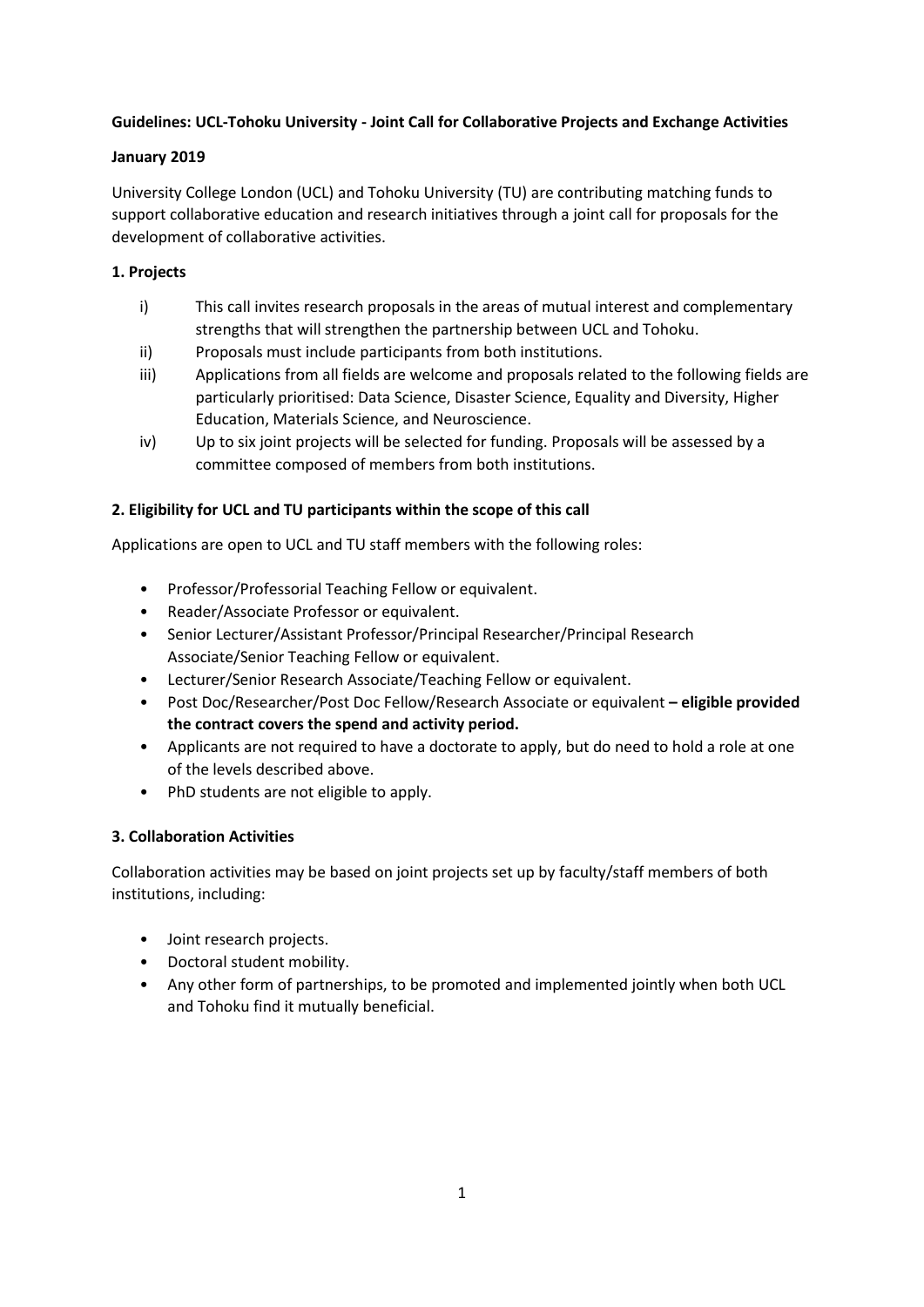# **Guidelines: UCL-Tohoku University - Joint Call for Collaborative Projects and Exchange Activities**

## **January 2019**

University College London (UCL) and Tohoku University (TU) are contributing matching funds to support collaborative education and research initiatives through a joint call for proposals for the development of collaborative activities.

# **1. Projects**

- i) This call invites research proposals in the areas of mutual interest and complementary strengths that will strengthen the partnership between UCL and Tohoku.
- ii) Proposals must include participants from both institutions.
- iii) Applications from all fields are welcome and proposals related to the following fields are particularly prioritised: Data Science, Disaster Science, Equality and Diversity, Higher Education, Materials Science, and Neuroscience.
- iv) Up to six joint projects will be selected for funding. Proposals will be assessed by a committee composed of members from both institutions.

## **2. Eligibility for UCL and TU participants within the scope of this call**

Applications are open to UCL and TU staff members with the following roles:

- Professor/Professorial Teaching Fellow or equivalent.
- Reader/Associate Professor or equivalent.
- Senior Lecturer/Assistant Professor/Principal Researcher/Principal Research Associate/Senior Teaching Fellow or equivalent.
- Lecturer/Senior Research Associate/Teaching Fellow or equivalent.
- Post Doc/Researcher/Post Doc Fellow/Research Associate or equivalent **– eligible provided the contract covers the spend and activity period.**
- Applicants are not required to have a doctorate to apply, but do need to hold a role at one of the levels described above.
- PhD students are not eligible to apply.

### **3. Collaboration Activities**

Collaboration activities may be based on joint projects set up by faculty/staff members of both institutions, including:

- Joint research projects.
- Doctoral student mobility.
- Any other form of partnerships, to be promoted and implemented jointly when both UCL and Tohoku find it mutually beneficial.